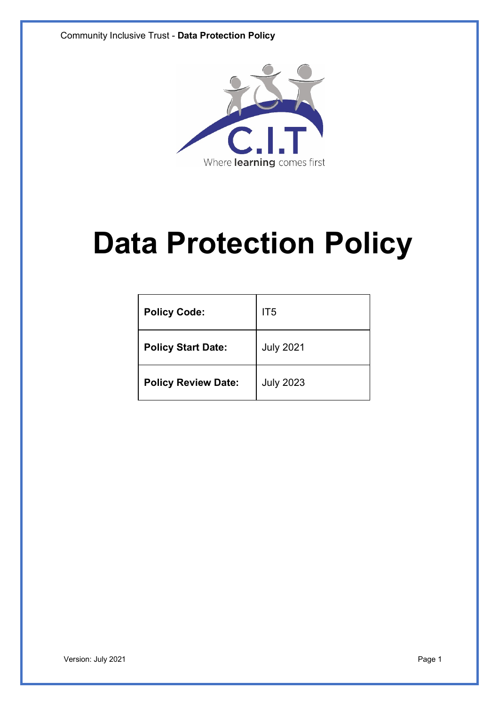

# **Data Protection Policy**

| <b>Policy Code:</b>        | IT <sub>5</sub>  |
|----------------------------|------------------|
| <b>Policy Start Date:</b>  | <b>July 2021</b> |
| <b>Policy Review Date:</b> | <b>July 2023</b> |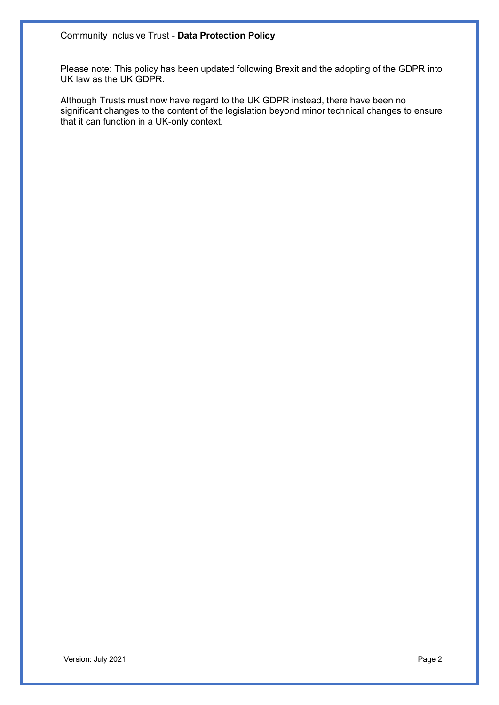Please note: This policy has been updated following Brexit and the adopting of the GDPR into UK law as the UK GDPR.

Although Trusts must now have regard to the UK GDPR instead, there have been no significant changes to the content of the legislation beyond minor technical changes to ensure that it can function in a UK-only context.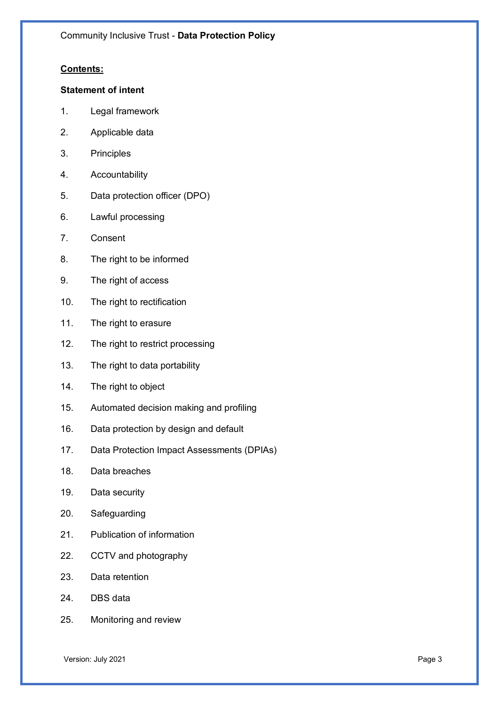# **Contents:**

## **Statement of intent**

- 1. Legal framework
- 2. Applicable data
- 3. Principles
- 4. Accountability
- 5. Data protection officer (DPO)
- 6. Lawful processing
- 7. Consent
- 8. The right to be informed
- 9. The right of access
- 10. The right to rectification
- 11. The right to erasure
- 12. The right to restrict processing
- 13. The right to data portability
- 14. The right to object
- 15. Automated decision making and profiling
- 16. Data protection by design and default
- 17. Data Protection Impact Assessments (DPIAs)
- 18. Data breaches
- 19. Data security
- 20. Safeguarding
- 21. Publication of information
- 22. CCTV and photography
- 23. Data retention
- 24. DBS data
- 25. Monitoring and review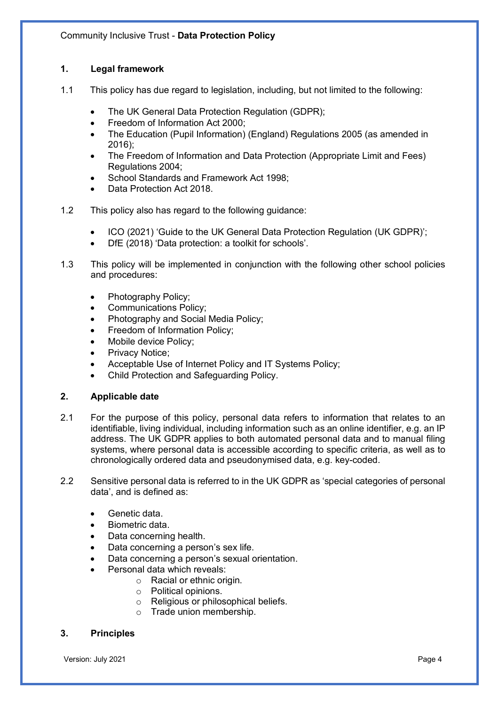# **1. Legal framework**

- 1.1 This policy has due regard to legislation, including, but not limited to the following:
	- The UK General Data Protection Regulation (GDPR);
	- Freedom of Information Act 2000;
	- The Education (Pupil Information) (England) Regulations 2005 (as amended in 2016);
	- The Freedom of Information and Data Protection (Appropriate Limit and Fees) Regulations 2004;
	- School Standards and Framework Act 1998;
	- Data Protection Act 2018.
- 1.2 This policy also has regard to the following guidance:
	- ICO (2021) 'Guide to the UK General Data Protection Regulation (UK GDPR)';
	- DfE (2018) 'Data protection: a toolkit for schools'.
- 1.3 This policy will be implemented in conjunction with the following other school policies and procedures:
	- Photography Policy;
	- Communications Policy;
	- Photography and Social Media Policy;
	- Freedom of Information Policy;
	- Mobile device Policy:
	- Privacy Notice;
	- Acceptable Use of Internet Policy and IT Systems Policy;
	- Child Protection and Safeguarding Policy.

# **2. Applicable date**

- 2.1 For the purpose of this policy, personal data refers to information that relates to an identifiable, living individual, including information such as an online identifier, e.g. an IP address. The UK GDPR applies to both automated personal data and to manual filing systems, where personal data is accessible according to specific criteria, as well as to chronologically ordered data and pseudonymised data, e.g. key-coded.
- 2.2 Sensitive personal data is referred to in the UK GDPR as 'special categories of personal data', and is defined as:
	- Genetic data.
	- Biometric data.
	- Data concerning health.
	- Data concerning a person's sex life.
	- Data concerning a person's sexual orientation.
		- Personal data which reveals:
			- o Racial or ethnic origin.
			- o Political opinions.
			- o Religious or philosophical beliefs.
			- o Trade union membership.

# **3. Principles**

Version: July 2021 **Page 4**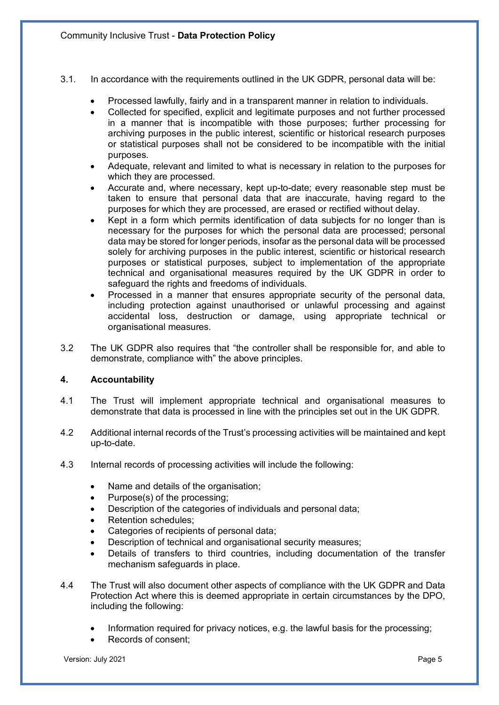- 3.1. In accordance with the requirements outlined in the UK GDPR, personal data will be:
	- Processed lawfully, fairly and in a transparent manner in relation to individuals.
	- Collected for specified, explicit and legitimate purposes and not further processed in a manner that is incompatible with those purposes; further processing for archiving purposes in the public interest, scientific or historical research purposes or statistical purposes shall not be considered to be incompatible with the initial purposes.
	- Adequate, relevant and limited to what is necessary in relation to the purposes for which they are processed.
	- Accurate and, where necessary, kept up-to-date; every reasonable step must be taken to ensure that personal data that are inaccurate, having regard to the purposes for which they are processed, are erased or rectified without delay.
	- Kept in a form which permits identification of data subjects for no longer than is necessary for the purposes for which the personal data are processed; personal data may be stored for longer periods, insofar as the personal data will be processed solely for archiving purposes in the public interest, scientific or historical research purposes or statistical purposes, subject to implementation of the appropriate technical and organisational measures required by the UK GDPR in order to safeguard the rights and freedoms of individuals.
	- Processed in a manner that ensures appropriate security of the personal data, including protection against unauthorised or unlawful processing and against accidental loss, destruction or damage, using appropriate technical or organisational measures.
- 3.2 The UK GDPR also requires that "the controller shall be responsible for, and able to demonstrate, compliance with" the above principles.

# **4. Accountability**

- 4.1 The Trust will implement appropriate technical and organisational measures to demonstrate that data is processed in line with the principles set out in the UK GDPR.
- 4.2 Additional internal records of the Trust's processing activities will be maintained and kept up-to-date.
- 4.3 Internal records of processing activities will include the following:
	- Name and details of the organisation;
	- Purpose(s) of the processing;
	- Description of the categories of individuals and personal data;
	- Retention schedules;
	- Categories of recipients of personal data;
	- Description of technical and organisational security measures;
	- Details of transfers to third countries, including documentation of the transfer mechanism safeguards in place.
- 4.4 The Trust will also document other aspects of compliance with the UK GDPR and Data Protection Act where this is deemed appropriate in certain circumstances by the DPO, including the following:
	- Information required for privacy notices, e.g. the lawful basis for the processing;
	- Records of consent;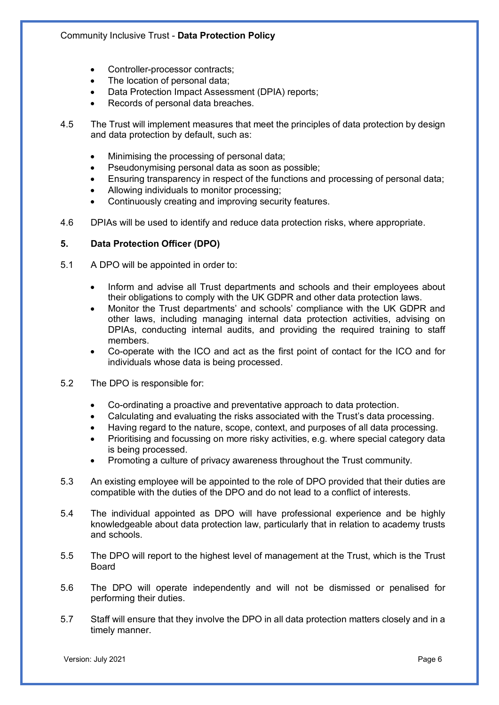- Controller-processor contracts;
- The location of personal data;
- Data Protection Impact Assessment (DPIA) reports;
- Records of personal data breaches.
- 4.5 The Trust will implement measures that meet the principles of data protection by design and data protection by default, such as:
	- Minimising the processing of personal data;
	- Pseudonymising personal data as soon as possible;
	- Ensuring transparency in respect of the functions and processing of personal data;
	- Allowing individuals to monitor processing;
	- Continuously creating and improving security features.
- 4.6 DPIAs will be used to identify and reduce data protection risks, where appropriate.

# **5. Data Protection Officer (DPO)**

- 5.1 A DPO will be appointed in order to:
	- Inform and advise all Trust departments and schools and their employees about their obligations to comply with the UK GDPR and other data protection laws.
	- Monitor the Trust departments' and schools' compliance with the UK GDPR and other laws, including managing internal data protection activities, advising on DPIAs, conducting internal audits, and providing the required training to staff members.
	- Co-operate with the ICO and act as the first point of contact for the ICO and for individuals whose data is being processed.
- 5.2 The DPO is responsible for:
	- Co-ordinating a proactive and preventative approach to data protection.
	- Calculating and evaluating the risks associated with the Trust's data processing.
	- Having regard to the nature, scope, context, and purposes of all data processing.
	- Prioritising and focussing on more risky activities, e.g. where special category data is being processed.
	- Promoting a culture of privacy awareness throughout the Trust community.
- 5.3 An existing employee will be appointed to the role of DPO provided that their duties are compatible with the duties of the DPO and do not lead to a conflict of interests.
- 5.4 The individual appointed as DPO will have professional experience and be highly knowledgeable about data protection law, particularly that in relation to academy trusts and schools.
- 5.5 The DPO will report to the highest level of management at the Trust, which is the Trust Board
- 5.6 The DPO will operate independently and will not be dismissed or penalised for performing their duties.
- 5.7 Staff will ensure that they involve the DPO in all data protection matters closely and in a timely manner.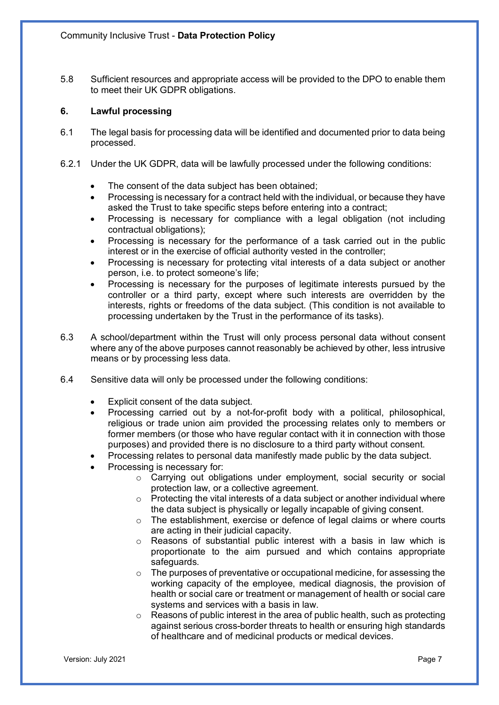5.8 Sufficient resources and appropriate access will be provided to the DPO to enable them to meet their UK GDPR obligations.

## **6. Lawful processing**

- 6.1 The legal basis for processing data will be identified and documented prior to data being processed.
- 6.2.1 Under the UK GDPR, data will be lawfully processed under the following conditions:
	- The consent of the data subject has been obtained:
	- Processing is necessary for a contract held with the individual, or because they have asked the Trust to take specific steps before entering into a contract;
	- Processing is necessary for compliance with a legal obligation (not including contractual obligations);
	- Processing is necessary for the performance of a task carried out in the public interest or in the exercise of official authority vested in the controller;
	- Processing is necessary for protecting vital interests of a data subject or another person, i.e. to protect someone's life;
	- Processing is necessary for the purposes of legitimate interests pursued by the controller or a third party, except where such interests are overridden by the interests, rights or freedoms of the data subject. (This condition is not available to processing undertaken by the Trust in the performance of its tasks).
- 6.3 A school/department within the Trust will only process personal data without consent where any of the above purposes cannot reasonably be achieved by other, less intrusive means or by processing less data.
- 6.4 Sensitive data will only be processed under the following conditions:
	- Explicit consent of the data subject.
	- Processing carried out by a not-for-profit body with a political, philosophical, religious or trade union aim provided the processing relates only to members or former members (or those who have regular contact with it in connection with those purposes) and provided there is no disclosure to a third party without consent.
	- Processing relates to personal data manifestly made public by the data subject.
	- Processing is necessary for:
		- o Carrying out obligations under employment, social security or social protection law, or a collective agreement.
		- o Protecting the vital interests of a data subject or another individual where the data subject is physically or legally incapable of giving consent.
		- o The establishment, exercise or defence of legal claims or where courts are acting in their judicial capacity.
		- o Reasons of substantial public interest with a basis in law which is proportionate to the aim pursued and which contains appropriate safeguards.
		- o The purposes of preventative or occupational medicine, for assessing the working capacity of the employee, medical diagnosis, the provision of health or social care or treatment or management of health or social care systems and services with a basis in law.
		- $\circ$  Reasons of public interest in the area of public health, such as protecting against serious cross-border threats to health or ensuring high standards of healthcare and of medicinal products or medical devices.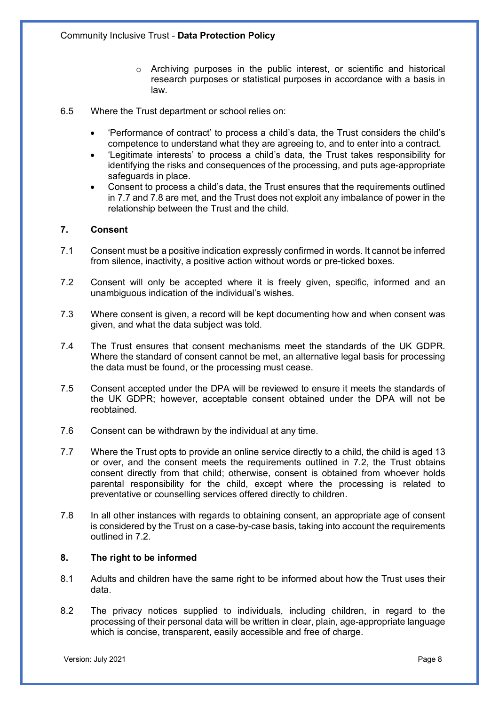- o Archiving purposes in the public interest, or scientific and historical research purposes or statistical purposes in accordance with a basis in law.
- 6.5 Where the Trust department or school relies on:
	- 'Performance of contract' to process a child's data, the Trust considers the child's competence to understand what they are agreeing to, and to enter into a contract.
	- 'Legitimate interests' to process a child's data, the Trust takes responsibility for identifying the risks and consequences of the processing, and puts age-appropriate safeguards in place.
	- Consent to process a child's data, the Trust ensures that the requirements outlined in 7.7 and 7.8 are met, and the Trust does not exploit any imbalance of power in the relationship between the Trust and the child.

# **7. Consent**

- 7.1 Consent must be a positive indication expressly confirmed in words. It cannot be inferred from silence, inactivity, a positive action without words or pre-ticked boxes.
- 7.2 Consent will only be accepted where it is freely given, specific, informed and an unambiguous indication of the individual's wishes.
- 7.3 Where consent is given, a record will be kept documenting how and when consent was given, and what the data subject was told.
- 7.4 The Trust ensures that consent mechanisms meet the standards of the UK GDPR. Where the standard of consent cannot be met, an alternative legal basis for processing the data must be found, or the processing must cease.
- 7.5 Consent accepted under the DPA will be reviewed to ensure it meets the standards of the UK GDPR; however, acceptable consent obtained under the DPA will not be reobtained.
- 7.6 Consent can be withdrawn by the individual at any time.
- 7.7 Where the Trust opts to provide an online service directly to a child, the child is aged 13 or over, and the consent meets the requirements outlined in 7.2, the Trust obtains consent directly from that child; otherwise, consent is obtained from whoever holds parental responsibility for the child, except where the processing is related to preventative or counselling services offered directly to children.
- 7.8 In all other instances with regards to obtaining consent, an appropriate age of consent is considered by the Trust on a case-by-case basis, taking into account the requirements outlined in 7.2.

## **8. The right to be informed**

- 8.1 Adults and children have the same right to be informed about how the Trust uses their data.
- 8.2 The privacy notices supplied to individuals, including children, in regard to the processing of their personal data will be written in clear, plain, age-appropriate language which is concise, transparent, easily accessible and free of charge.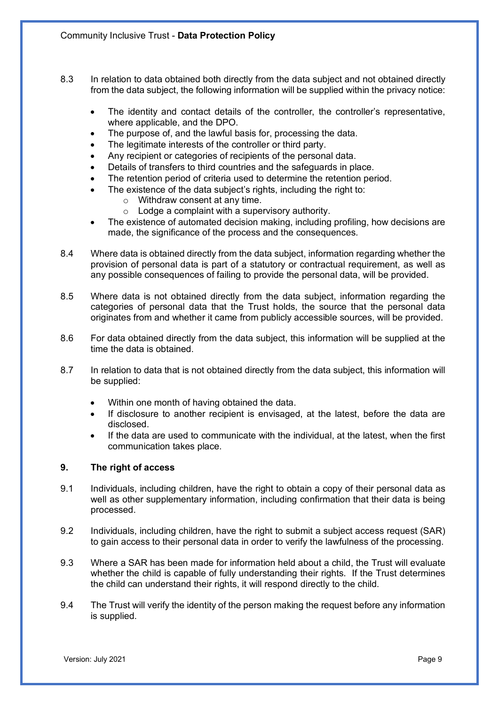- 8.3 In relation to data obtained both directly from the data subject and not obtained directly from the data subject, the following information will be supplied within the privacy notice:
	- The identity and contact details of the controller, the controller's representative, where applicable, and the DPO.
	- The purpose of, and the lawful basis for, processing the data.
	- The legitimate interests of the controller or third party.
	- Any recipient or categories of recipients of the personal data.
	- Details of transfers to third countries and the safeguards in place.
	- The retention period of criteria used to determine the retention period.
	- The existence of the data subject's rights, including the right to:
		- o Withdraw consent at any time.
			- $\circ$  Lodge a complaint with a supervisory authority.
	- The existence of automated decision making, including profiling, how decisions are made, the significance of the process and the consequences.
- 8.4 Where data is obtained directly from the data subject, information regarding whether the provision of personal data is part of a statutory or contractual requirement, as well as any possible consequences of failing to provide the personal data, will be provided.
- 8.5 Where data is not obtained directly from the data subject, information regarding the categories of personal data that the Trust holds, the source that the personal data originates from and whether it came from publicly accessible sources, will be provided.
- 8.6 For data obtained directly from the data subject, this information will be supplied at the time the data is obtained.
- 8.7 In relation to data that is not obtained directly from the data subject, this information will be supplied:
	- Within one month of having obtained the data.
	- If disclosure to another recipient is envisaged, at the latest, before the data are disclosed.
	- If the data are used to communicate with the individual, at the latest, when the first communication takes place.

# **9. The right of access**

- 9.1 Individuals, including children, have the right to obtain a copy of their personal data as well as other supplementary information, including confirmation that their data is being processed.
- 9.2 Individuals, including children, have the right to submit a subject access request (SAR) to gain access to their personal data in order to verify the lawfulness of the processing.
- 9.3 Where a SAR has been made for information held about a child, the Trust will evaluate whether the child is capable of fully understanding their rights. If the Trust determines the child can understand their rights, it will respond directly to the child.
- 9.4 The Trust will verify the identity of the person making the request before any information is supplied.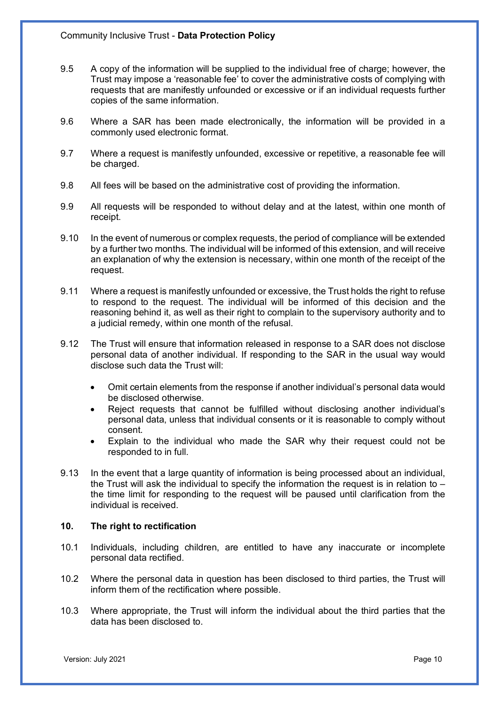- 9.5 A copy of the information will be supplied to the individual free of charge; however, the Trust may impose a 'reasonable fee' to cover the administrative costs of complying with requests that are manifestly unfounded or excessive or if an individual requests further copies of the same information.
- 9.6 Where a SAR has been made electronically, the information will be provided in a commonly used electronic format.
- 9.7 Where a request is manifestly unfounded, excessive or repetitive, a reasonable fee will be charged.
- 9.8 All fees will be based on the administrative cost of providing the information.
- 9.9 All requests will be responded to without delay and at the latest, within one month of receipt.
- 9.10 In the event of numerous or complex requests, the period of compliance will be extended by a further two months. The individual will be informed of this extension, and will receive an explanation of why the extension is necessary, within one month of the receipt of the request.
- 9.11 Where a request is manifestly unfounded or excessive, the Trust holds the right to refuse to respond to the request. The individual will be informed of this decision and the reasoning behind it, as well as their right to complain to the supervisory authority and to a judicial remedy, within one month of the refusal.
- 9.12 The Trust will ensure that information released in response to a SAR does not disclose personal data of another individual. If responding to the SAR in the usual way would disclose such data the Trust will:
	- Omit certain elements from the response if another individual's personal data would be disclosed otherwise.
	- Reject requests that cannot be fulfilled without disclosing another individual's personal data, unless that individual consents or it is reasonable to comply without consent.
	- Explain to the individual who made the SAR why their request could not be responded to in full.
- 9.13 In the event that a large quantity of information is being processed about an individual, the Trust will ask the individual to specify the information the request is in relation to  $$ the time limit for responding to the request will be paused until clarification from the individual is received.

## **10. The right to rectification**

- 10.1 Individuals, including children, are entitled to have any inaccurate or incomplete personal data rectified.
- 10.2 Where the personal data in question has been disclosed to third parties, the Trust will inform them of the rectification where possible.
- 10.3 Where appropriate, the Trust will inform the individual about the third parties that the data has been disclosed to.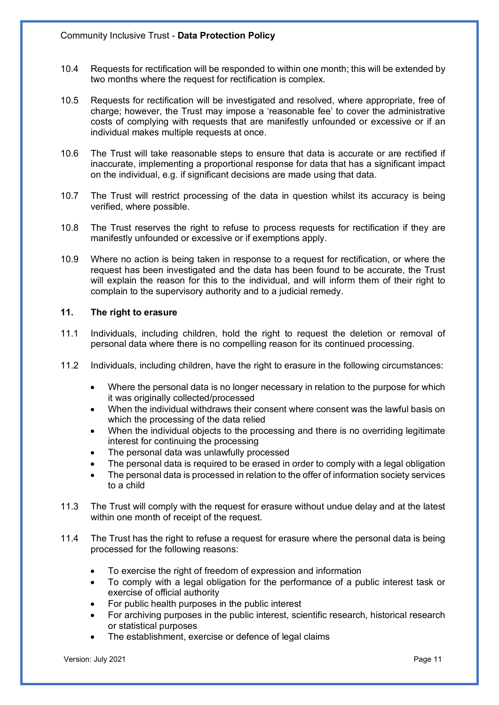- 10.4 Requests for rectification will be responded to within one month; this will be extended by two months where the request for rectification is complex.
- 10.5 Requests for rectification will be investigated and resolved, where appropriate, free of charge; however, the Trust may impose a 'reasonable fee' to cover the administrative costs of complying with requests that are manifestly unfounded or excessive or if an individual makes multiple requests at once.
- 10.6 The Trust will take reasonable steps to ensure that data is accurate or are rectified if inaccurate, implementing a proportional response for data that has a significant impact on the individual, e.g. if significant decisions are made using that data.
- 10.7 The Trust will restrict processing of the data in question whilst its accuracy is being verified, where possible.
- 10.8 The Trust reserves the right to refuse to process requests for rectification if they are manifestly unfounded or excessive or if exemptions apply.
- 10.9 Where no action is being taken in response to a request for rectification, or where the request has been investigated and the data has been found to be accurate, the Trust will explain the reason for this to the individual, and will inform them of their right to complain to the supervisory authority and to a judicial remedy.

# **11. The right to erasure**

- 11.1 Individuals, including children, hold the right to request the deletion or removal of personal data where there is no compelling reason for its continued processing.
- 11.2 Individuals, including children, have the right to erasure in the following circumstances:
	- Where the personal data is no longer necessary in relation to the purpose for which it was originally collected/processed
	- When the individual withdraws their consent where consent was the lawful basis on which the processing of the data relied
	- When the individual objects to the processing and there is no overriding legitimate interest for continuing the processing
	- The personal data was unlawfully processed
	- The personal data is required to be erased in order to comply with a legal obligation
	- The personal data is processed in relation to the offer of information society services to a child
- 11.3 The Trust will comply with the request for erasure without undue delay and at the latest within one month of receipt of the request.
- 11.4 The Trust has the right to refuse a request for erasure where the personal data is being processed for the following reasons:
	- To exercise the right of freedom of expression and information
	- To comply with a legal obligation for the performance of a public interest task or exercise of official authority
	- For public health purposes in the public interest
	- For archiving purposes in the public interest, scientific research, historical research or statistical purposes
	- The establishment, exercise or defence of legal claims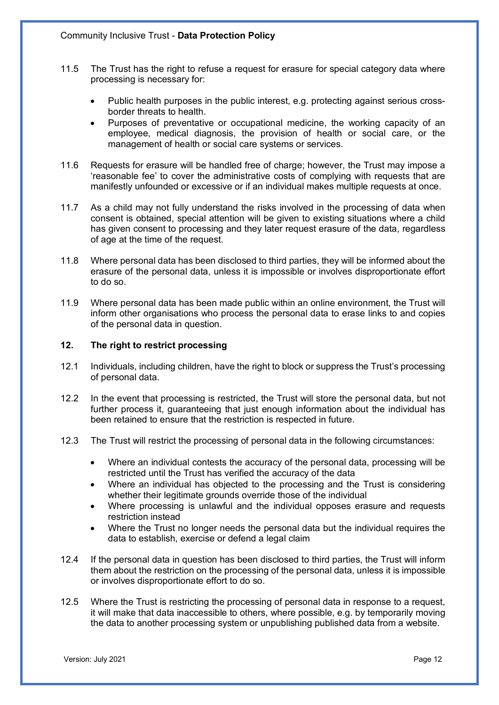- 11.5 The Trust has the right to refuse a request for erasure for special category data where processing is necessary for:
	- Public health purposes in the public interest, e.g. protecting against serious crossborder threats to health.
	- Purposes of preventative or occupational medicine, the working capacity of an employee, medical diagnosis, the provision of health or social care, or the management of health or social care systems or services.
- 11.6 Requests for erasure will be handled free of charge; however, the Trust may impose a 'reasonable fee' to cover the administrative costs of complying with requests that are manifestly unfounded or excessive or if an individual makes multiple requests at once.
- 11.7 As a child may not fully understand the risks involved in the processing of data when consent is obtained, special attention will be given to existing situations where a child has given consent to processing and they later request erasure of the data, regardless of age at the time of the request.
- 11.8 Where personal data has been disclosed to third parties, they will be informed about the erasure of the personal data, unless it is impossible or involves disproportionate effort to do so.
- 11.9 Where personal data has been made public within an online environment, the Trust will inform other organisations who process the personal data to erase links to and copies of the personal data in question.

# **12. The right to restrict processing**

- 12.1 Individuals, including children, have the right to block or suppress the Trust's processing of personal data.
- 12.2 In the event that processing is restricted, the Trust will store the personal data, but not further process it, quaranteeing that just enough information about the individual has been retained to ensure that the restriction is respected in future.
- 12.3 The Trust will restrict the processing of personal data in the following circumstances:
	- Where an individual contests the accuracy of the personal data, processing will be restricted until the Trust has verified the accuracy of the data
	- Where an individual has objected to the processing and the Trust is considering whether their legitimate grounds override those of the individual
	- Where processing is unlawful and the individual opposes erasure and requests restriction instead
	- Where the Trust no longer needs the personal data but the individual requires the data to establish, exercise or defend a legal claim
- 12.4 If the personal data in question has been disclosed to third parties, the Trust will inform them about the restriction on the processing of the personal data, unless it is impossible or involves disproportionate effort to do so.
- 12.5 Where the Trust is restricting the processing of personal data in response to a request, it will make that data inaccessible to others, where possible, e.g. by temporarily moving the data to another processing system or unpublishing published data from a website.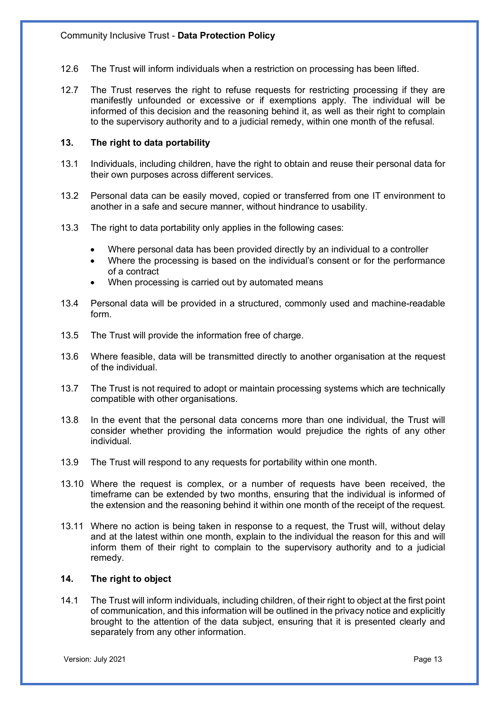- 12.6 The Trust will inform individuals when a restriction on processing has been lifted.
- 12.7 The Trust reserves the right to refuse requests for restricting processing if they are manifestly unfounded or excessive or if exemptions apply. The individual will be informed of this decision and the reasoning behind it, as well as their right to complain to the supervisory authority and to a judicial remedy, within one month of the refusal.

## **13. The right to data portability**

- 13.1 Individuals, including children, have the right to obtain and reuse their personal data for their own purposes across different services.
- 13.2 Personal data can be easily moved, copied or transferred from one IT environment to another in a safe and secure manner, without hindrance to usability.
- 13.3 The right to data portability only applies in the following cases:
	- Where personal data has been provided directly by an individual to a controller
	- Where the processing is based on the individual's consent or for the performance of a contract
	- When processing is carried out by automated means
- 13.4 Personal data will be provided in a structured, commonly used and machine-readable form.
- 13.5 The Trust will provide the information free of charge.
- 13.6 Where feasible, data will be transmitted directly to another organisation at the request of the individual.
- 13.7 The Trust is not required to adopt or maintain processing systems which are technically compatible with other organisations.
- 13.8 In the event that the personal data concerns more than one individual, the Trust will consider whether providing the information would prejudice the rights of any other individual.
- 13.9 The Trust will respond to any requests for portability within one month.
- 13.10 Where the request is complex, or a number of requests have been received, the timeframe can be extended by two months, ensuring that the individual is informed of the extension and the reasoning behind it within one month of the receipt of the request.
- 13.11 Where no action is being taken in response to a request, the Trust will, without delay and at the latest within one month, explain to the individual the reason for this and will inform them of their right to complain to the supervisory authority and to a judicial remedy.

## **14. The right to object**

14.1 The Trust will inform individuals, including children, of their right to object at the first point of communication, and this information will be outlined in the privacy notice and explicitly brought to the attention of the data subject, ensuring that it is presented clearly and separately from any other information.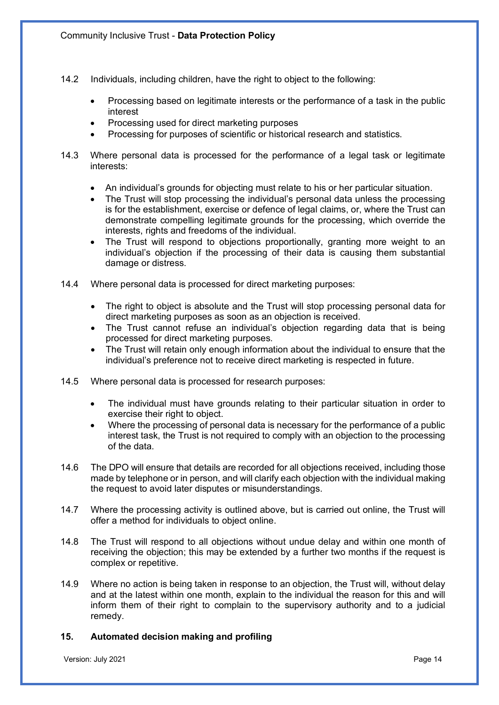- 14.2 Individuals, including children, have the right to object to the following:
	- Processing based on legitimate interests or the performance of a task in the public interest
	- Processing used for direct marketing purposes
	- Processing for purposes of scientific or historical research and statistics.
- 14.3 Where personal data is processed for the performance of a legal task or legitimate interests:
	- An individual's grounds for objecting must relate to his or her particular situation.
	- The Trust will stop processing the individual's personal data unless the processing is for the establishment, exercise or defence of legal claims, or, where the Trust can demonstrate compelling legitimate grounds for the processing, which override the interests, rights and freedoms of the individual.
	- The Trust will respond to objections proportionally, granting more weight to an individual's objection if the processing of their data is causing them substantial damage or distress.
- 14.4 Where personal data is processed for direct marketing purposes:
	- The right to object is absolute and the Trust will stop processing personal data for direct marketing purposes as soon as an objection is received.
	- The Trust cannot refuse an individual's objection regarding data that is being processed for direct marketing purposes.
	- The Trust will retain only enough information about the individual to ensure that the individual's preference not to receive direct marketing is respected in future.
- 14.5 Where personal data is processed for research purposes:
	- The individual must have grounds relating to their particular situation in order to exercise their right to object.
	- Where the processing of personal data is necessary for the performance of a public interest task, the Trust is not required to comply with an objection to the processing of the data.
- 14.6 The DPO will ensure that details are recorded for all objections received, including those made by telephone or in person, and will clarify each objection with the individual making the request to avoid later disputes or misunderstandings.
- 14.7 Where the processing activity is outlined above, but is carried out online, the Trust will offer a method for individuals to object online.
- 14.8 The Trust will respond to all objections without undue delay and within one month of receiving the objection; this may be extended by a further two months if the request is complex or repetitive.
- 14.9 Where no action is being taken in response to an objection, the Trust will, without delay and at the latest within one month, explain to the individual the reason for this and will inform them of their right to complain to the supervisory authority and to a judicial remedy.

# **15. Automated decision making and profiling**

Version: July 2021 Page 14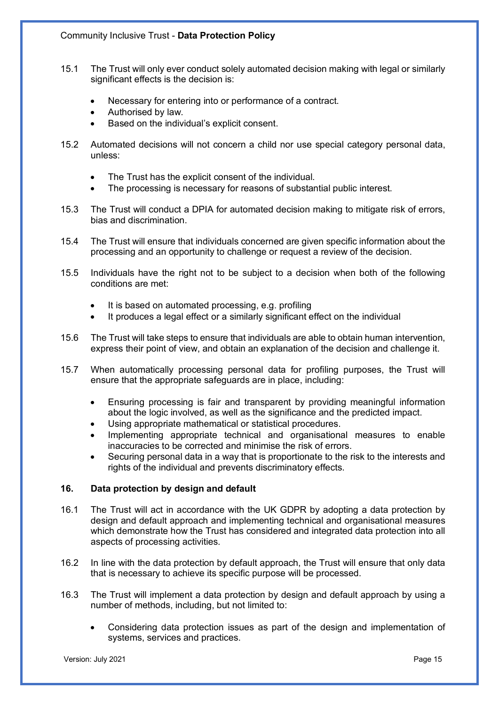- 15.1 The Trust will only ever conduct solely automated decision making with legal or similarly significant effects is the decision is:
	- Necessary for entering into or performance of a contract.
	- Authorised by law.
	- Based on the individual's explicit consent.
- 15.2 Automated decisions will not concern a child nor use special category personal data, unless:
	- The Trust has the explicit consent of the individual.
	- The processing is necessary for reasons of substantial public interest.
- 15.3 The Trust will conduct a DPIA for automated decision making to mitigate risk of errors, bias and discrimination.
- 15.4 The Trust will ensure that individuals concerned are given specific information about the processing and an opportunity to challenge or request a review of the decision.
- 15.5 Individuals have the right not to be subject to a decision when both of the following conditions are met:
	- It is based on automated processing, e.g. profiling
	- It produces a legal effect or a similarly significant effect on the individual
- 15.6 The Trust will take steps to ensure that individuals are able to obtain human intervention, express their point of view, and obtain an explanation of the decision and challenge it.
- 15.7 When automatically processing personal data for profiling purposes, the Trust will ensure that the appropriate safeguards are in place, including:
	- Ensuring processing is fair and transparent by providing meaningful information about the logic involved, as well as the significance and the predicted impact.
	- Using appropriate mathematical or statistical procedures.
	- Implementing appropriate technical and organisational measures to enable inaccuracies to be corrected and minimise the risk of errors.
	- Securing personal data in a way that is proportionate to the risk to the interests and rights of the individual and prevents discriminatory effects.

# **16. Data protection by design and default**

- 16.1 The Trust will act in accordance with the UK GDPR by adopting a data protection by design and default approach and implementing technical and organisational measures which demonstrate how the Trust has considered and integrated data protection into all aspects of processing activities.
- 16.2 In line with the data protection by default approach, the Trust will ensure that only data that is necessary to achieve its specific purpose will be processed.
- 16.3 The Trust will implement a data protection by design and default approach by using a number of methods, including, but not limited to:
	- Considering data protection issues as part of the design and implementation of systems, services and practices.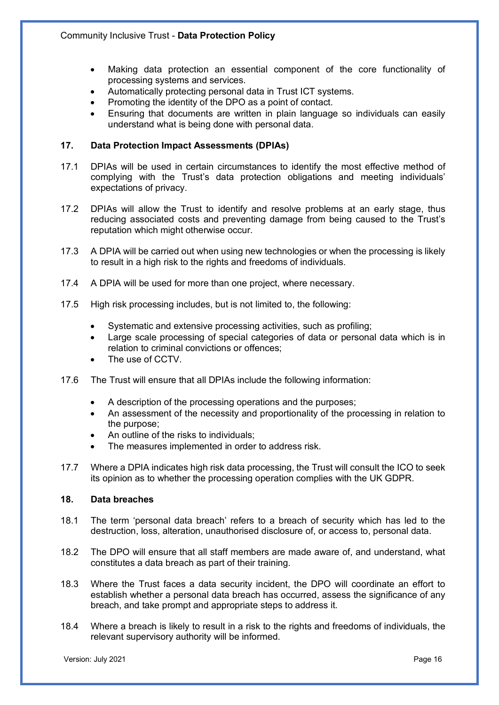- Making data protection an essential component of the core functionality of processing systems and services.
- Automatically protecting personal data in Trust ICT systems.
- Promoting the identity of the DPO as a point of contact.
- Ensuring that documents are written in plain language so individuals can easily understand what is being done with personal data.

# **17. Data Protection Impact Assessments (DPIAs)**

- 17.1 DPIAs will be used in certain circumstances to identify the most effective method of complying with the Trust's data protection obligations and meeting individuals' expectations of privacy.
- 17.2 DPIAs will allow the Trust to identify and resolve problems at an early stage, thus reducing associated costs and preventing damage from being caused to the Trust's reputation which might otherwise occur.
- 17.3 A DPIA will be carried out when using new technologies or when the processing is likely to result in a high risk to the rights and freedoms of individuals.
- 17.4 A DPIA will be used for more than one project, where necessary.
- 17.5 High risk processing includes, but is not limited to, the following:
	- Systematic and extensive processing activities, such as profiling:
	- Large scale processing of special categories of data or personal data which is in relation to criminal convictions or offences;
	- The use of CCTV.
- 17.6 The Trust will ensure that all DPIAs include the following information:
	- A description of the processing operations and the purposes;
	- An assessment of the necessity and proportionality of the processing in relation to the purpose;
	- An outline of the risks to individuals;
	- The measures implemented in order to address risk.
- 17.7 Where a DPIA indicates high risk data processing, the Trust will consult the ICO to seek its opinion as to whether the processing operation complies with the UK GDPR.

## **18. Data breaches**

- 18.1 The term 'personal data breach' refers to a breach of security which has led to the destruction, loss, alteration, unauthorised disclosure of, or access to, personal data.
- 18.2 The DPO will ensure that all staff members are made aware of, and understand, what constitutes a data breach as part of their training.
- 18.3 Where the Trust faces a data security incident, the DPO will coordinate an effort to establish whether a personal data breach has occurred, assess the significance of any breach, and take prompt and appropriate steps to address it.
- 18.4 Where a breach is likely to result in a risk to the rights and freedoms of individuals, the relevant supervisory authority will be informed.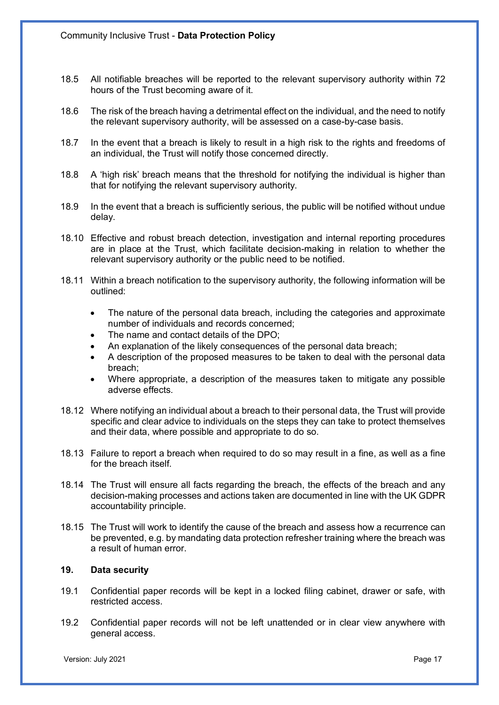- 18.5 All notifiable breaches will be reported to the relevant supervisory authority within 72 hours of the Trust becoming aware of it.
- 18.6 The risk of the breach having a detrimental effect on the individual, and the need to notify the relevant supervisory authority, will be assessed on a case-by-case basis.
- 18.7 In the event that a breach is likely to result in a high risk to the rights and freedoms of an individual, the Trust will notify those concerned directly.
- 18.8 A 'high risk' breach means that the threshold for notifying the individual is higher than that for notifying the relevant supervisory authority.
- 18.9 In the event that a breach is sufficiently serious, the public will be notified without undue delay.
- 18.10 Effective and robust breach detection, investigation and internal reporting procedures are in place at the Trust, which facilitate decision-making in relation to whether the relevant supervisory authority or the public need to be notified.
- 18.11 Within a breach notification to the supervisory authority, the following information will be outlined:
	- The nature of the personal data breach, including the categories and approximate number of individuals and records concerned;
	- The name and contact details of the DPO:
	- An explanation of the likely consequences of the personal data breach;
	- A description of the proposed measures to be taken to deal with the personal data breach;
	- Where appropriate, a description of the measures taken to mitigate any possible adverse effects.
- 18.12 Where notifying an individual about a breach to their personal data, the Trust will provide specific and clear advice to individuals on the steps they can take to protect themselves and their data, where possible and appropriate to do so.
- 18.13 Failure to report a breach when required to do so may result in a fine, as well as a fine for the breach itself.
- 18.14 The Trust will ensure all facts regarding the breach, the effects of the breach and any decision-making processes and actions taken are documented in line with the UK GDPR accountability principle.
- 18.15 The Trust will work to identify the cause of the breach and assess how a recurrence can be prevented, e.g. by mandating data protection refresher training where the breach was a result of human error.

## **19. Data security**

- 19.1 Confidential paper records will be kept in a locked filing cabinet, drawer or safe, with restricted access.
- 19.2 Confidential paper records will not be left unattended or in clear view anywhere with general access.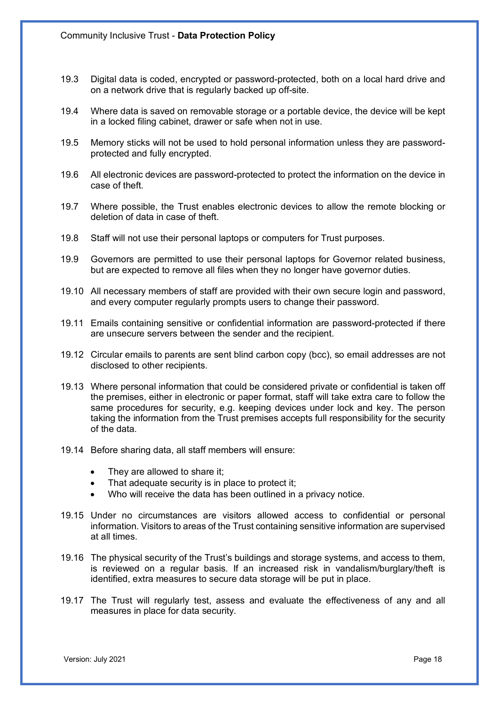- 19.3 Digital data is coded, encrypted or password-protected, both on a local hard drive and on a network drive that is regularly backed up off-site.
- 19.4 Where data is saved on removable storage or a portable device, the device will be kept in a locked filing cabinet, drawer or safe when not in use.
- 19.5 Memory sticks will not be used to hold personal information unless they are passwordprotected and fully encrypted.
- 19.6 All electronic devices are password-protected to protect the information on the device in case of theft.
- 19.7 Where possible, the Trust enables electronic devices to allow the remote blocking or deletion of data in case of theft.
- 19.8 Staff will not use their personal laptops or computers for Trust purposes.
- 19.9 Governors are permitted to use their personal laptops for Governor related business, but are expected to remove all files when they no longer have governor duties.
- 19.10 All necessary members of staff are provided with their own secure login and password, and every computer regularly prompts users to change their password.
- 19.11 Emails containing sensitive or confidential information are password-protected if there are unsecure servers between the sender and the recipient.
- 19.12 Circular emails to parents are sent blind carbon copy (bcc), so email addresses are not disclosed to other recipients.
- 19.13 Where personal information that could be considered private or confidential is taken off the premises, either in electronic or paper format, staff will take extra care to follow the same procedures for security, e.g. keeping devices under lock and key. The person taking the information from the Trust premises accepts full responsibility for the security of the data.
- 19.14 Before sharing data, all staff members will ensure:
	- They are allowed to share it;
	- That adequate security is in place to protect it;
	- Who will receive the data has been outlined in a privacy notice.
- 19.15 Under no circumstances are visitors allowed access to confidential or personal information. Visitors to areas of the Trust containing sensitive information are supervised at all times.
- 19.16 The physical security of the Trust's buildings and storage systems, and access to them, is reviewed on a regular basis. If an increased risk in vandalism/burglary/theft is identified, extra measures to secure data storage will be put in place.
- 19.17 The Trust will regularly test, assess and evaluate the effectiveness of any and all measures in place for data security.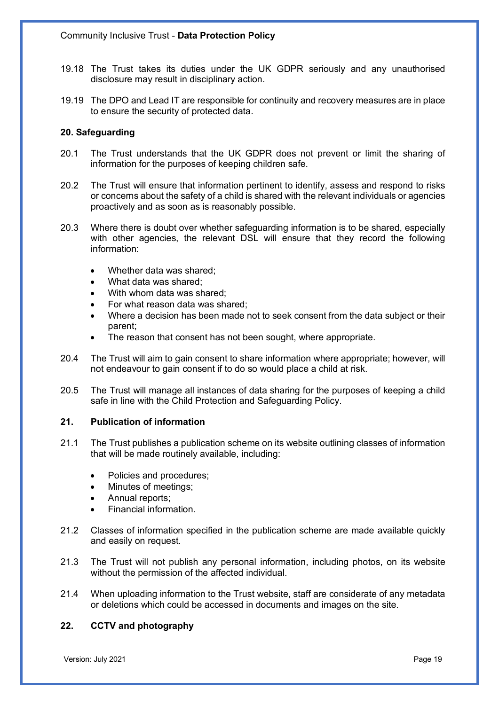- 19.18 The Trust takes its duties under the UK GDPR seriously and any unauthorised disclosure may result in disciplinary action.
- 19.19 The DPO and Lead IT are responsible for continuity and recovery measures are in place to ensure the security of protected data.

## **20. Safeguarding**

- 20.1 The Trust understands that the UK GDPR does not prevent or limit the sharing of information for the purposes of keeping children safe.
- 20.2 The Trust will ensure that information pertinent to identify, assess and respond to risks or concerns about the safety of a child is shared with the relevant individuals or agencies proactively and as soon as is reasonably possible.
- 20.3 Where there is doubt over whether safeguarding information is to be shared, especially with other agencies, the relevant DSL will ensure that they record the following information:
	- Whether data was shared:
	- What data was shared:
	- With whom data was shared:
	- For what reason data was shared;
	- Where a decision has been made not to seek consent from the data subject or their parent;
	- The reason that consent has not been sought, where appropriate.
- 20.4 The Trust will aim to gain consent to share information where appropriate; however, will not endeavour to gain consent if to do so would place a child at risk.
- 20.5 The Trust will manage all instances of data sharing for the purposes of keeping a child safe in line with the Child Protection and Safeguarding Policy.

## **21. Publication of information**

- 21.1 The Trust publishes a publication scheme on its website outlining classes of information that will be made routinely available, including:
	- Policies and procedures;
	- Minutes of meetings;
	- Annual reports:
	- Financial information.
- 21.2 Classes of information specified in the publication scheme are made available quickly and easily on request.
- 21.3 The Trust will not publish any personal information, including photos, on its website without the permission of the affected individual.
- 21.4 When uploading information to the Trust website, staff are considerate of any metadata or deletions which could be accessed in documents and images on the site.

# **22. CCTV and photography**